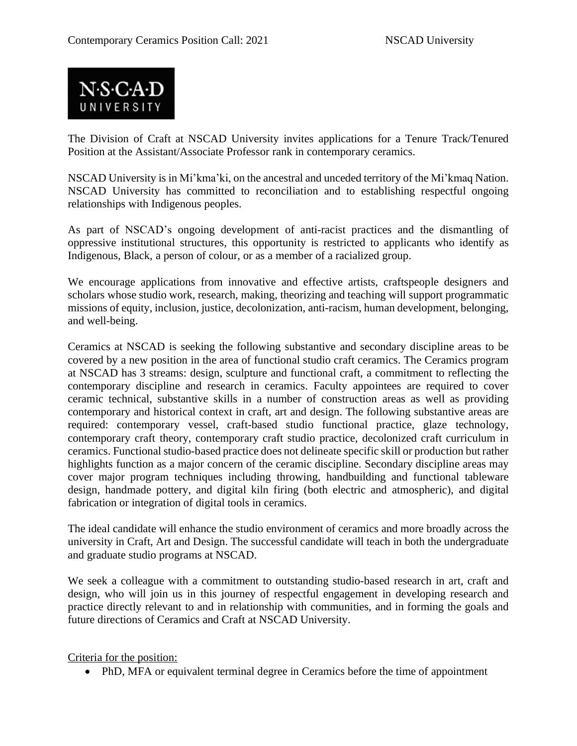

The Division of Craft at NSCAD University invites applications for a Tenure Track/Tenured Position at the Assistant/Associate Professor rank in contemporary ceramics.

NSCAD University is in Mi'kma'ki, on the ancestral and unceded territory of the Mi'kmaq Nation. NSCAD University has committed to reconciliation and to establishing respectful ongoing relationships with Indigenous peoples.

As part of NSCAD's ongoing development of anti-racist practices and the dismantling of oppressive institutional structures, this opportunity is restricted to applicants who identify as Indigenous, Black, a person of colour, or as a member of a racialized group.

We encourage applications from innovative and effective artists, craftspeople designers and scholars whose studio work, research, making, theorizing and teaching will support programmatic missions of equity, inclusion, justice, decolonization, anti-racism, human development, belonging, and well-being.

Ceramics at NSCAD is seeking the following substantive and secondary discipline areas to be covered by a new position in the area of functional studio craft ceramics. The Ceramics program at NSCAD has 3 streams: design, sculpture and functional craft, a commitment to reflecting the contemporary discipline and research in ceramics. Faculty appointees are required to cover ceramic technical, substantive skills in a number of construction areas as well as providing contemporary and historical context in craft, art and design. The following substantive areas are required: contemporary vessel, craft-based studio functional practice, glaze technology, contemporary craft theory, contemporary craft studio practice, decolonized craft curriculum in ceramics. Functional studio-based practice does not delineate specific skill or production but rather highlights function as a major concern of the ceramic discipline. Secondary discipline areas may cover major program techniques including throwing, handbuilding and functional tableware design, handmade pottery, and digital kiln firing (both electric and atmospheric), and digital fabrication or integration of digital tools in ceramics.

The ideal candidate will enhance the studio environment of ceramics and more broadly across the university in Craft, Art and Design. The successful candidate will teach in both the undergraduate and graduate studio programs at NSCAD.

We seek a colleague with a commitment to outstanding studio-based research in art, craft and design, who will join us in this journey of respectful engagement in developing research and practice directly relevant to and in relationship with communities, and in forming the goals and future directions of Ceramics and Craft at NSCAD University.

Criteria for the position:

• PhD, MFA or equivalent terminal degree in Ceramics before the time of appointment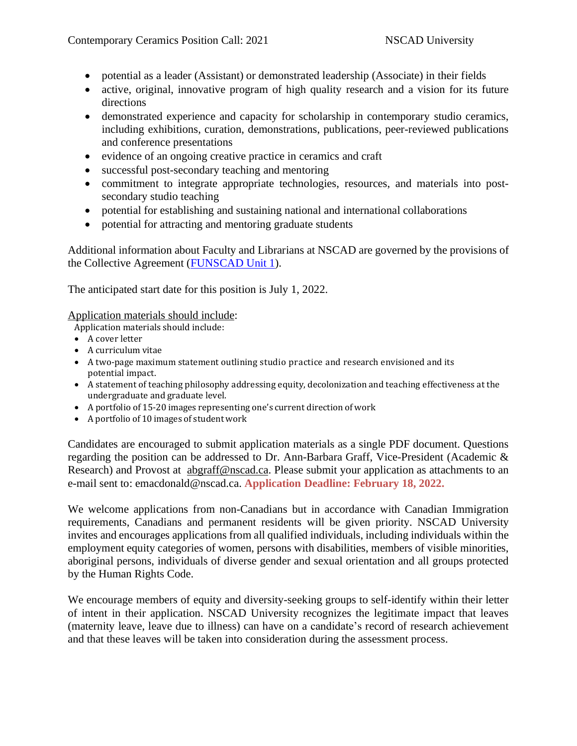- potential as a leader (Assistant) or demonstrated leadership (Associate) in their fields
- active, original, innovative program of high quality research and a vision for its future directions
- demonstrated experience and capacity for scholarship in contemporary studio ceramics, including exhibitions, curation, demonstrations, publications, peer-reviewed publications and conference presentations
- evidence of an ongoing creative practice in ceramics and craft
- successful post-secondary teaching and mentoring
- commitment to integrate appropriate technologies, resources, and materials into postsecondary studio teaching
- potential for establishing and sustaining national and international collaborations
- potential for attracting and mentoring graduate students

Additional information about Faculty and Librarians at NSCAD are governed by the provisions of the Collective Agreement [\(FUNSCAD](https://navigator.nscad.ca/wordpress/wp-content/uploads/2019/07/UNIT-I-Collective-Agreement-July1-2018-June-30-2022-Signed.pdf) Unit 1).

The anticipated start date for this position is July 1, 2022.

## Application materials should include:

Application materials should include:

- A cover letter
- A curriculum vitae
- A two-page maximum statement outlining studio practice and research envisioned and its potential impact.
- A statement of teaching philosophy addressing equity, decolonization and teaching effectiveness at the undergraduate and graduate level.
- A portfolio of 15-20 images representing one's current direction of work
- A portfolio of 10 images of student work

Candidates are encouraged to submit application materials as a single PDF document. Questions regarding the position can be addressed to Dr. Ann-Barbara Graff, Vice-President (Academic & Research) and Provost at [abgraff@nscad.ca.](mailto:abgraff@nscad.ca) Please submit your application as attachments to an e-mail sent to: emacdonald@nscad.ca. **Application Deadline: February 18, 2022.**

We welcome applications from non-Canadians but in accordance with Canadian Immigration requirements, Canadians and permanent residents will be given priority. NSCAD University invites and encourages applications from all qualified individuals, including individuals within the employment equity categories of women, persons with disabilities, members of visible minorities, aboriginal persons, individuals of diverse gender and sexual orientation and all groups protected by the Human Rights Code.

We encourage members of equity and diversity-seeking groups to self-identify within their letter of intent in their application. NSCAD University recognizes the legitimate impact that leaves (maternity leave, leave due to illness) can have on a candidate's record of research achievement and that these leaves will be taken into consideration during the assessment process.